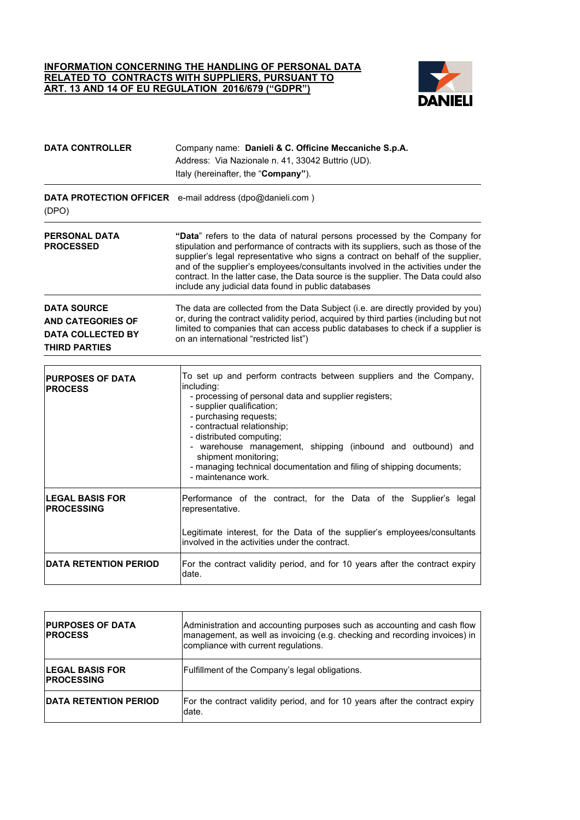## **INFORMATION CONCERNING THE HANDLING OF PERSONAL DATA RELATED TO CONTRACTS WITH SUPPLIERS, PURSUANT TO ART. 13 AND 14 OF EU REGULATION 2016/679 ("GDPR")**



| <b>DATA CONTROLLER</b>                                                                             | Company name: Danieli & C. Officine Meccaniche S.p.A.<br>Address: Via Nazionale n. 41, 33042 Buttrio (UD).<br>Italy (hereinafter, the "Company").                                                                                                                                                                                                                                                                                                                                  |
|----------------------------------------------------------------------------------------------------|------------------------------------------------------------------------------------------------------------------------------------------------------------------------------------------------------------------------------------------------------------------------------------------------------------------------------------------------------------------------------------------------------------------------------------------------------------------------------------|
| (DPO)                                                                                              | <b>DATA PROTECTION OFFICER</b> e-mail address (dpo@danieli.com)                                                                                                                                                                                                                                                                                                                                                                                                                    |
| <b>PERSONAL DATA</b><br><b>PROCESSED</b>                                                           | "Data" refers to the data of natural persons processed by the Company for<br>stipulation and performance of contracts with its suppliers, such as those of the<br>supplier's legal representative who signs a contract on behalf of the supplier,<br>and of the supplier's employees/consultants involved in the activities under the<br>contract. In the latter case, the Data source is the supplier. The Data could also<br>include any judicial data found in public databases |
| <b>DATA SOURCE</b><br><b>AND CATEGORIES OF</b><br><b>DATA COLLECTED BY</b><br><b>THIRD PARTIES</b> | The data are collected from the Data Subject (i.e. are directly provided by you)<br>or, during the contract validity period, acquired by third parties (including but not<br>limited to companies that can access public databases to check if a supplier is<br>on an international "restricted list")                                                                                                                                                                             |
| <b>PURPOSES OF DATA</b><br><b>PROCESS</b>                                                          | To set up and perform contracts between suppliers and the Company,<br>including:<br>- processing of personal data and supplier registers;<br>- supplier qualification;<br>- purchasing requests;<br>- contractual relationship;<br>- distributed computing;<br>- warehouse management, shipping (inbound and outbound) and<br>shipment monitoring;<br>- managing technical documentation and filing of shipping documents;<br>- maintenance work.                                  |
| <b>LEGAL BASIS FOR</b><br><b>PROCESSING</b>                                                        | Performance of the contract, for the Data of the Supplier's legal<br>representative.<br>Legitimate interest, for the Data of the supplier's employees/consultants<br>involved in the activities under the contract.                                                                                                                                                                                                                                                                |
| <b>DATA RETENTION PERIOD</b>                                                                       | For the contract validity period, and for 10 years after the contract expiry<br>date.                                                                                                                                                                                                                                                                                                                                                                                              |

| <b>PURPOSES OF DATA</b><br><b>IPROCESS</b>    | Administration and accounting purposes such as accounting and cash flow<br>management, as well as invoicing (e.g. checking and recording invoices) in<br>compliance with current regulations. |
|-----------------------------------------------|-----------------------------------------------------------------------------------------------------------------------------------------------------------------------------------------------|
| <b>ILEGAL BASIS FOR</b><br><b>IPROCESSING</b> | Fulfillment of the Company's legal obligations.                                                                                                                                               |
| <b>IDATA RETENTION PERIOD</b>                 | For the contract validity period, and for 10 years after the contract expiry<br>date.                                                                                                         |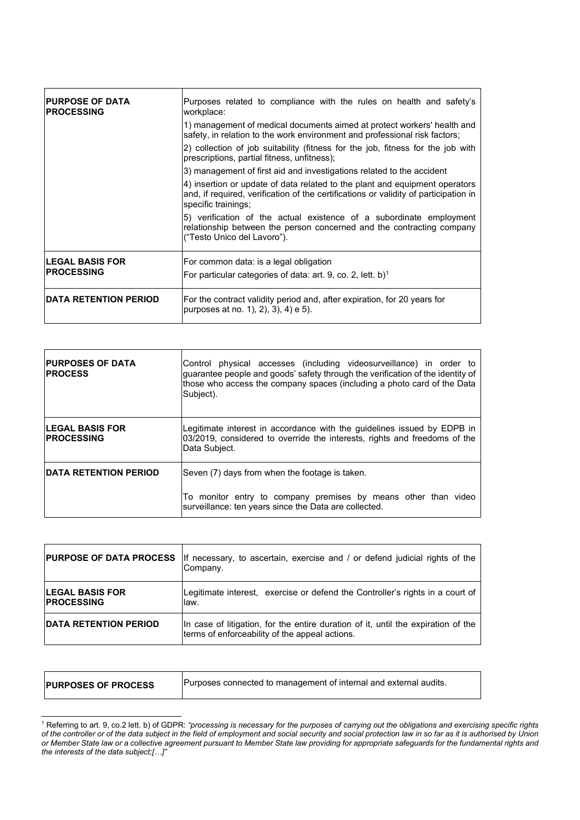| <b>IPURPOSE OF DATA</b><br><b>IPROCESSING</b> | Purposes related to compliance with the rules on health and safety's<br>workplace:                                                                                                         |
|-----------------------------------------------|--------------------------------------------------------------------------------------------------------------------------------------------------------------------------------------------|
|                                               | 1) management of medical documents aimed at protect workers' health and<br>safety, in relation to the work environment and professional risk factors;                                      |
|                                               | 2) collection of job suitability (fitness for the job, fitness for the job with<br>prescriptions, partial fitness, unfitness);                                                             |
|                                               | 3) management of first aid and investigations related to the accident                                                                                                                      |
|                                               | 4) insertion or update of data related to the plant and equipment operators<br>and, if required, verification of the certifications or validity of participation in<br>specific trainings; |
|                                               | 5) verification of the actual existence of a subordinate employment<br>relationship between the person concerned and the contracting company<br>("Testo Unico del Lavoro").                |
| <b>ILEGAL BASIS FOR</b><br><b>IPROCESSING</b> | For common data: is a legal obligation<br>For particular categories of data: art. 9, co. 2, lett. b) <sup>1</sup>                                                                          |
| <b>IDATA RETENTION PERIOD</b>                 | For the contract validity period and, after expiration, for 20 years for<br>purposes at no. 1), 2), 3), 4) e 5).                                                                           |

| <b>PURPOSES OF DATA</b><br><b>PROCESS</b>    | Control physical accesses (including videosurveillance) in order to<br>guarantee people and goods' safety through the verification of the identity of<br>those who access the company spaces (including a photo card of the Data<br>Subject). |
|----------------------------------------------|-----------------------------------------------------------------------------------------------------------------------------------------------------------------------------------------------------------------------------------------------|
| <b>LEGAL BASIS FOR</b><br><b>IPROCESSING</b> | Legitimate interest in accordance with the guidelines issued by EDPB in<br>03/2019, considered to override the interests, rights and freedoms of the<br>Data Subject.                                                                         |
| <b>IDATA RETENTION PERIOD</b>                | Seven (7) days from when the footage is taken.                                                                                                                                                                                                |
|                                              | To monitor entry to company premises by means other than video<br>surveillance: ten years since the Data are collected.                                                                                                                       |

| <b>PURPOSE OF DATA PROCESS</b>              | If necessary, to ascertain, exercise and / or defend judicial rights of the<br>ICompanv.                                            |
|---------------------------------------------|-------------------------------------------------------------------------------------------------------------------------------------|
| <b>LEGAL BASIS FOR</b><br><b>PROCESSING</b> | Legitimate interest, exercise or defend the Controller's rights in a court of<br>law.                                               |
| <b>DATA RETENTION PERIOD</b>                | In case of litigation, for the entire duration of it, until the expiration of the<br>terms of enforceability of the appeal actions. |

| <b>PURPOSES OF PROCESS</b> | Purposes connected to management of internal and external audits. |
|----------------------------|-------------------------------------------------------------------|
|                            |                                                                   |

<span id="page-1-0"></span><sup>1</sup> Referring to art. 9, co.2 lett. b) of GDPR: *"processing is necessary for the purposes of carrying out the obligations and exercising specific rights of the controller or of the data subject in the field of employment and social security and social protection law in so far as it is authorised by Union or Member State law or a collective agreement pursuant to Member State law providing for appropriate safeguards for the fundamental rights and the interests of the data subject;[…]"*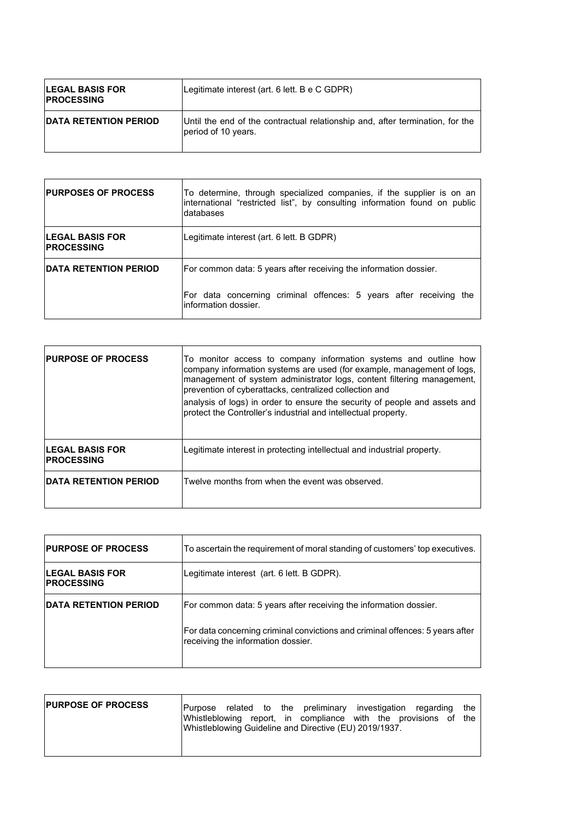| <b>ILEGAL BASIS FOR</b><br><b>IPROCESSING</b> | Legitimate interest (art. 6 lett. B e C GDPR)                                                        |
|-----------------------------------------------|------------------------------------------------------------------------------------------------------|
| <b>DATA RETENTION PERIOD</b>                  | Until the end of the contractual relationship and, after termination, for the<br>period of 10 years. |

| <b>PURPOSES OF PROCESS</b>                   | To determine, through specialized companies, if the supplier is on an<br>international "restricted list", by consulting information found on public<br>Idatabases |
|----------------------------------------------|-------------------------------------------------------------------------------------------------------------------------------------------------------------------|
| <b>LEGAL BASIS FOR</b><br><b>IPROCESSING</b> | Legitimate interest (art. 6 lett. B GDPR)                                                                                                                         |
| <b>IDATA RETENTION PERIOD</b>                | For common data: 5 years after receiving the information dossier.<br>For data concerning criminal offences: 5 years after receiving the<br>information dossier.   |

| <b>PURPOSE OF PROCESS</b>                    | To monitor access to company information systems and outline how<br>company information systems are used (for example, management of logs,<br>management of system administrator logs, content filtering management,<br>prevention of cyberattacks, centralized collection and<br>analysis of logs) in order to ensure the security of people and assets and<br>protect the Controller's industrial and intellectual property. |
|----------------------------------------------|--------------------------------------------------------------------------------------------------------------------------------------------------------------------------------------------------------------------------------------------------------------------------------------------------------------------------------------------------------------------------------------------------------------------------------|
| <b>LEGAL BASIS FOR</b><br><b>IPROCESSING</b> | Legitimate interest in protecting intellectual and industrial property.                                                                                                                                                                                                                                                                                                                                                        |
| <b>IDATA RETENTION PERIOD</b>                | Twelve months from when the event was observed.                                                                                                                                                                                                                                                                                                                                                                                |

| <b>PURPOSE OF PROCESS</b>                    | To ascertain the requirement of moral standing of customers' top executives.                                        |
|----------------------------------------------|---------------------------------------------------------------------------------------------------------------------|
| <b>LEGAL BASIS FOR</b><br><b>IPROCESSING</b> | Legitimate interest (art. 6 lett. B GDPR).                                                                          |
| <b>IDATA RETENTION PERIOD</b>                | For common data: 5 years after receiving the information dossier.                                                   |
|                                              | For data concerning criminal convictions and criminal offences: 5 years after<br>receiving the information dossier. |

| <b>PURPOSE OF PROCESS</b> | Purpose related to the preliminary investigation regarding<br>Whistleblowing report, in compliance with the provisions of the<br>Whistleblowing Guideline and Directive (EU) 2019/1937. | the |
|---------------------------|-----------------------------------------------------------------------------------------------------------------------------------------------------------------------------------------|-----|
|                           |                                                                                                                                                                                         |     |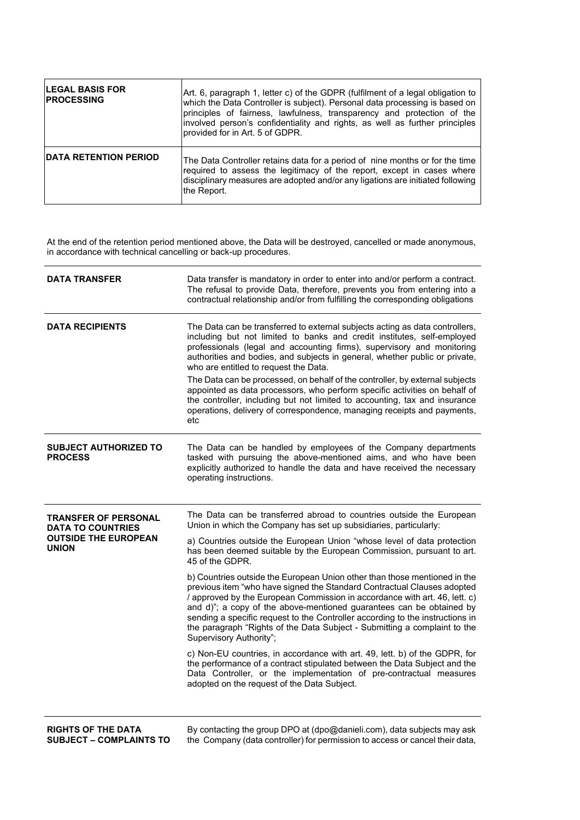| <b>ILEGAL BASIS FOR</b><br><b>IPROCESSING</b> | Art. 6, paragraph 1, letter c) of the GDPR (fulfilment of a legal obligation to<br>which the Data Controller is subject). Personal data processing is based on<br>principles of fairness, lawfulness, transparency and protection of the<br>involved person's confidentiality and rights, as well as further principles<br>provided for in Art. 5 of GDPR. |
|-----------------------------------------------|------------------------------------------------------------------------------------------------------------------------------------------------------------------------------------------------------------------------------------------------------------------------------------------------------------------------------------------------------------|
| <b>DATA RETENTION PERIOD</b>                  | The Data Controller retains data for a period of nine months or for the time<br>required to assess the legitimacy of the report, except in cases where<br>disciplinary measures are adopted and/or any ligations are initiated following<br>the Report.                                                                                                    |

At the end of the retention period mentioned above, the Data will be destroyed, cancelled or made anonymous, in accordance with technical cancelling or back-up procedures.

| <b>DATA TRANSFER</b>                                                                                   | Data transfer is mandatory in order to enter into and/or perform a contract.<br>The refusal to provide Data, therefore, prevents you from entering into a<br>contractual relationship and/or from fulfilling the corresponding obligations                                                                                                                                                                                                                                                          |
|--------------------------------------------------------------------------------------------------------|-----------------------------------------------------------------------------------------------------------------------------------------------------------------------------------------------------------------------------------------------------------------------------------------------------------------------------------------------------------------------------------------------------------------------------------------------------------------------------------------------------|
| <b>DATA RECIPIENTS</b>                                                                                 | The Data can be transferred to external subjects acting as data controllers,<br>including but not limited to banks and credit institutes, self-employed<br>professionals (legal and accounting firms), supervisory and monitoring<br>authorities and bodies, and subjects in general, whether public or private,<br>who are entitled to request the Data.                                                                                                                                           |
|                                                                                                        | The Data can be processed, on behalf of the controller, by external subjects<br>appointed as data processors, who perform specific activities on behalf of<br>the controller, including but not limited to accounting, tax and insurance<br>operations, delivery of correspondence, managing receipts and payments,<br>etc                                                                                                                                                                          |
| <b>SUBJECT AUTHORIZED TO</b><br><b>PROCESS</b>                                                         | The Data can be handled by employees of the Company departments<br>tasked with pursuing the above-mentioned aims, and who have been<br>explicitly authorized to handle the data and have received the necessary<br>operating instructions.                                                                                                                                                                                                                                                          |
| <b>TRANSFER OF PERSONAL</b><br><b>DATA TO COUNTRIES</b><br><b>OUTSIDE THE EUROPEAN</b><br><b>UNION</b> | The Data can be transferred abroad to countries outside the European<br>Union in which the Company has set up subsidiaries, particularly:                                                                                                                                                                                                                                                                                                                                                           |
|                                                                                                        | a) Countries outside the European Union "whose level of data protection<br>has been deemed suitable by the European Commission, pursuant to art.<br>45 of the GDPR.                                                                                                                                                                                                                                                                                                                                 |
|                                                                                                        | b) Countries outside the European Union other than those mentioned in the<br>previous item "who have signed the Standard Contractual Clauses adopted<br>/ approved by the European Commission in accordance with art. 46, lett. c)<br>and d)"; a copy of the above-mentioned guarantees can be obtained by<br>sending a specific request to the Controller according to the instructions in<br>the paragraph "Rights of the Data Subject - Submitting a complaint to the<br>Supervisory Authority"; |
|                                                                                                        | c) Non-EU countries, in accordance with art. 49, lett. b) of the GDPR, for<br>the performance of a contract stipulated between the Data Subject and the<br>Data Controller, or the implementation of pre-contractual measures<br>adopted on the request of the Data Subject.                                                                                                                                                                                                                        |
|                                                                                                        |                                                                                                                                                                                                                                                                                                                                                                                                                                                                                                     |

**RIGHTS OF THE DATA SUBJECT – COMPLAINTS TO** 

By contacting the group DPO at (dpo@danieli.com), data subjects may ask the Company (data controller) for permission to access or cancel their data,